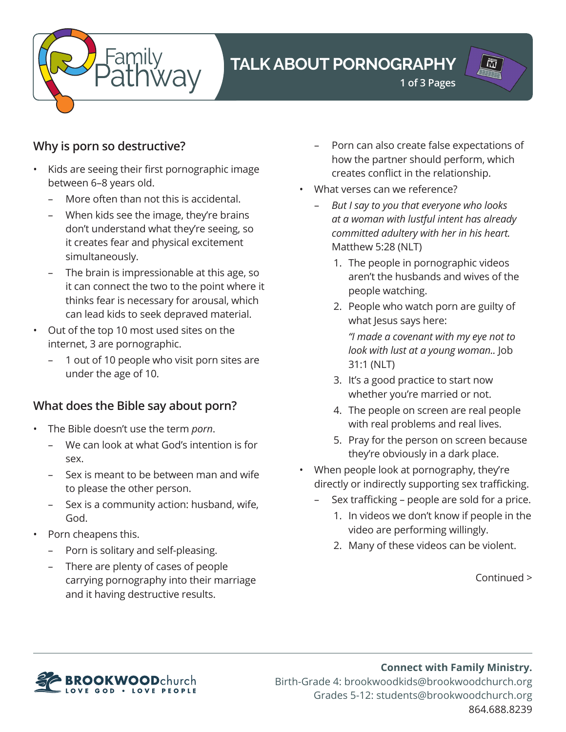

# **TALK ABOUT PORNOGRAPHY**

**1 of 3 Pages**

# $\prod_{i=1}^{\text{matrix}}$

## **Why is porn so destructive?**

- • Kids are seeing their first pornographic image between 6–8 years old.
	- More often than not this is accidental.
	- When kids see the image, they're brains don't understand what they're seeing, so it creates fear and physical excitement simultaneously.
	- The brain is impressionable at this age, so it can connect the two to the point where it thinks fear is necessary for arousal, which can lead kids to seek depraved material.
- • Out of the top 10 most used sites on the internet, 3 are pornographic.
	- 1 out of 10 people who visit porn sites are under the age of 10.

#### **What does the Bible say about porn?**

- The Bible doesn't use the term *porn*.
	- We can look at what God's intention is for sex.
	- Sex is meant to be between man and wife to please the other person.
	- – Sex is a community action: husband, wife, God.
- Porn cheapens this.
	- Porn is solitary and self-pleasing.
	- There are plenty of cases of people carrying pornography into their marriage and it having destructive results.
- Porn can also create false expectations of how the partner should perform, which creates conflict in the relationship.
- What verses can we reference?
	- *But I say to you that everyone who looks at a woman with lustful intent has already committed adultery with her in his heart.*  Matthew 5:28 (NLT)
		- 1. The people in pornographic videos aren't the husbands and wives of the people watching.
		- 2. People who watch porn are guilty of what Jesus says here:

*"I made a covenant with my eye not to look with lust at a young woman..* Job 31:1 (NLT)

- 3. It's a good practice to start now whether you're married or not.
- 4. The people on screen are real people with real problems and real lives.
- 5. Pray for the person on screen because they're obviously in a dark place.
- When people look at pornography, they're directly or indirectly supporting sex trafficking.
	- Sex trafficking people are sold for a price.
		- 1. In videos we don't know if people in the video are performing willingly.
		- 2. Many of these videos can be violent.

Continued >



**Connect with Family Ministry.** Birth-Grade 4: brookwoodkids@brookwoodchurch.org Grades 5-12: students@brookwoodchurch.org 864.688.8239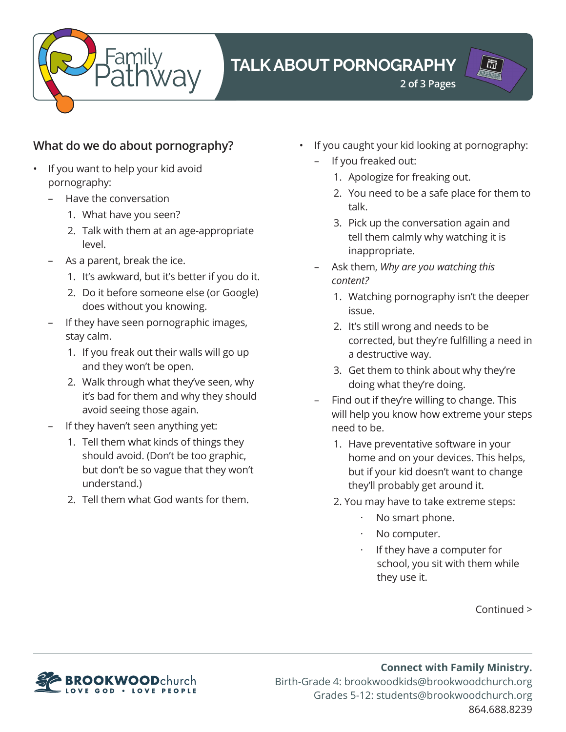

# **TALK ABOUT PORNOGRAPHY**

**2 of 3 Pages**

# ÖÏ

## **What do we do about pornography?**

- If you want to help your kid avoid pornography:
	- Have the conversation
		- 1. What have you seen?
		- 2. Talk with them at an age-appropriate level.
	- As a parent, break the ice.
		- 1. It's awkward, but it's better if you do it.
		- 2. Do it before someone else (or Google) does without you knowing.
	- If they have seen pornographic images, stay calm.
		- 1. If you freak out their walls will go up and they won't be open.
		- 2. Walk through what they've seen, why it's bad for them and why they should avoid seeing those again.
	- If they haven't seen anything yet:
		- 1. Tell them what kinds of things they should avoid. (Don't be too graphic, but don't be so vague that they won't understand.)
		- 2. Tell them what God wants for them.
- If you caught your kid looking at pornography:
	- If you freaked out:
		- 1. Apologize for freaking out.
		- 2. You need to be a safe place for them to talk.
		- 3. Pick up the conversation again and tell them calmly why watching it is inappropriate.
	- Ask them, *Why are you watching this content?*
		- 1. Watching pornography isn't the deeper issue.
		- 2. It's still wrong and needs to be corrected, but they're fulfilling a need in a destructive way.
		- 3. Get them to think about why they're doing what they're doing.
	- Find out if they're willing to change. This will help you know how extreme your steps need to be.
		- 1. Have preventative software in your home and on your devices. This helps, but if your kid doesn't want to change they'll probably get around it.
		- 2. You may have to take extreme steps:
			- No smart phone.
			- No computer.
			- If they have a computer for school, you sit with them while they use it.

Continued >



**Connect with Family Ministry.** Birth-Grade 4: brookwoodkids@brookwoodchurch.org Grades 5-12: students@brookwoodchurch.org 864.688.8239